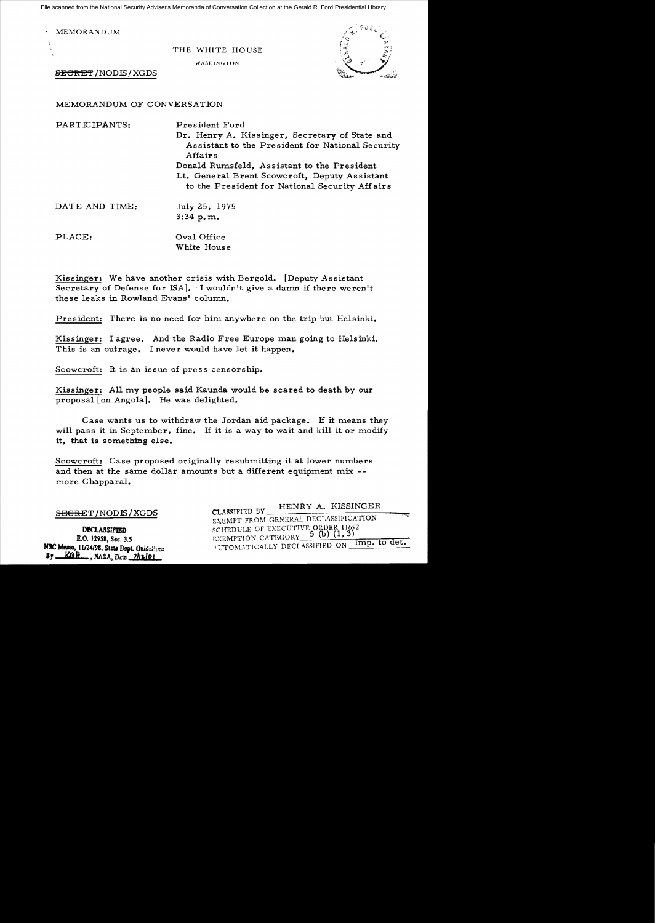File scanned from the National Security Adviser's Memoranda of Conversation Collection at the Gerald R. Ford Presidential Library

**MEMORANDUM** 

 $\mathcal{L}$ 

THE WHITE HOUSE

WASHINGTON



SECRET / NODIS / XGDS

MEMORANDUM OF CONVERSATION

| PARTICIPANTS:  | President Ford                                                                                                                                 |
|----------------|------------------------------------------------------------------------------------------------------------------------------------------------|
|                | Dr. Henry A. Kissinger, Secretary of State and<br>Assistant to the President for National Security<br>Affairs                                  |
|                | Donald Rumsfeld, Assistant to the President<br>Lt. General Brent Scowcroft, Deputy Assistant<br>to the President for National Security Affairs |
| DATE AND TIME: | July 25, 1975                                                                                                                                  |
|                | $3:34$ p.m.                                                                                                                                    |

PLACE:  $Oval$  Oral Office White House

Kissinger: We have another crisis with Bergold. [Deputy Assistant Secretary of Defense for ISA]. I wouldn't give a damn if there weren't these leaks in Rowland Evans' column.

President: There is no need for him anywhere on the trip but Helsinki.

Kissinger: I agree. And the Radio Free Europe man going to Helsinki. This is an outrage. I never would have let it happen.

Scowcroft: It is an issue of press censorship.

Kissinger: All my people said Kaunda would be scared to death by our proposal [on Angola]. He was delighted.

Case wants us to withdraw the Jordan aid package. If it means they will pass it in September, fine. If it is a way to wait and kill it or modify it, that is something else.

Scowcroft: Case proposed originally resubmitting it at lower numbers and then at the same dollar amounts but a different equipment mix -more Chapparal.

DECLASSIFIED E.O. 12958, Sec. 3.5 NSC Memo, 11/24/98, State Dept. Guidelfree By <u>Koll</u>, NARA, Date 7/12/01

CLASSIFIED BY \_\_\_\_\_\_\_\_\_\_ HENRY A. KISSINGER -=-=-=-=\_\_\_1'>Ii;;' SECRET /NODIS/XGDS EXEMPT FROM GENERAL DECLASSIFICATION SCHEDULE OF EXECUTIVE ORDER 11652<br>EXEMPTION CATEGORY 5 (b) (1, 3) \*UTOMATICALLY DECLASSIFIED ON Imp. to det.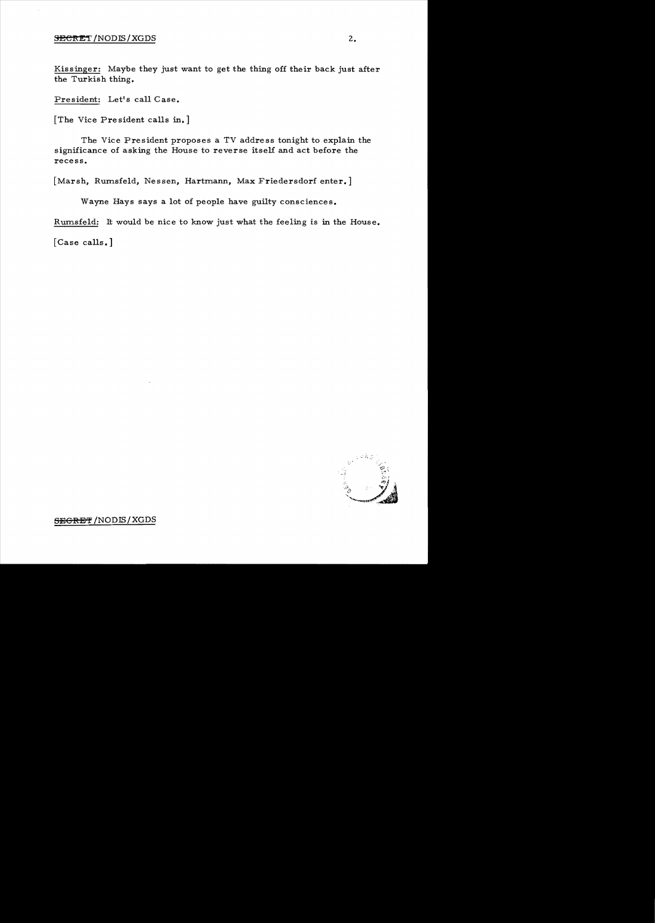## $S$ ECRET /NODIS/XGDS  $2.$

Kissinger: Maybe they just want to get the thing off their back just after the Turkish thing.

President: Let's call Case.

[The Vice Pre sident calls in.]

The Vice President proposes a TV address tonight to explain the significance of asking the House to reverse itself and act before the recess.

[Marsh, Rumsfeld, Nessen, Hartmann, Max Friedersdorf enter.]

Wayne Hays says a lot of people have guilty consciences.

Rumsfeld: It would be nice to know just what the feeling is in the House.

[Case calls.]



**SEeRE'!** /NODIS/XGDS